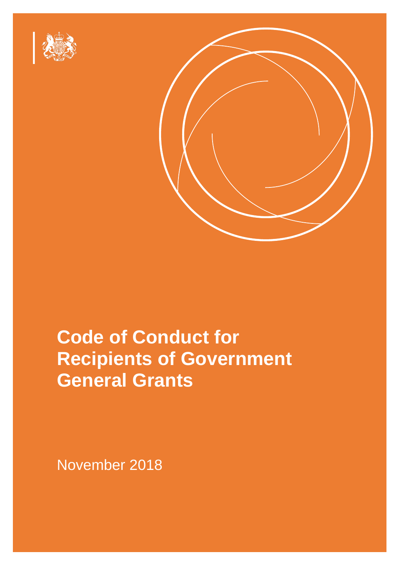



# not lead the expectations placed on the individuals and organisations placed on the individuals and organisatio **Code of Conduct for Recipients of Government This Conduction Conduction Recipients of Government** will make reference to it in the internal conditions. I expect that Grant Recipients. I expect that Grant Recipi will meet the expectations in this code, and ensure the ensure their employees and partners of the partners of **General Grants**

November 2018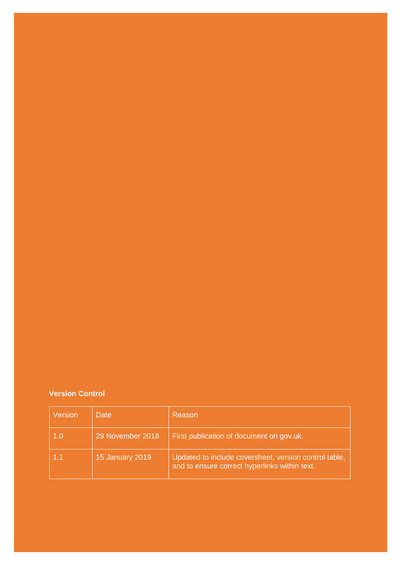# **Version Control**

| Version | Date             | Reason                                                                                                 |
|---------|------------------|--------------------------------------------------------------------------------------------------------|
| 1.0     | 29 November 2018 | First publication of document on gov.uk.                                                               |
|         | 15 January 2019  | Updated to include coversheet, version control table,<br>and to ensure correct hyperlinks within text. |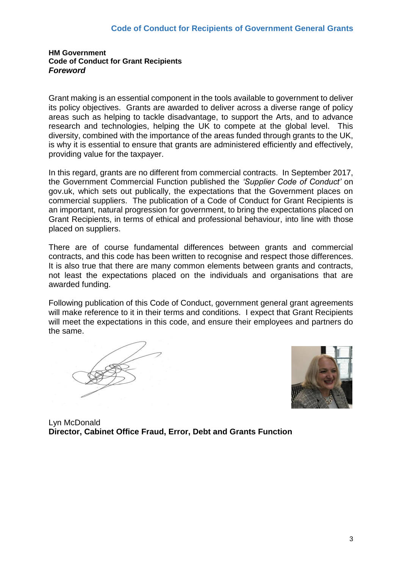#### **HM Government Code of Conduct for Grant Recipients** *Foreword*

Grant making is an essential component in the tools available to government to deliver its policy objectives. Grants are awarded to deliver across a diverse range of policy areas such as helping to tackle disadvantage, to support the Arts, and to advance research and technologies, helping the UK to compete at the global level. This diversity, combined with the importance of the areas funded through grants to the UK, is why it is essential to ensure that grants are administered efficiently and effectively, providing value for the taxpayer.

In this regard, grants are no different from commercial contracts. In September 2017, the Government Commercial Function published the *'Supplier Code of Conduct'* on gov.uk, which sets out publically, the expectations that the Government places on commercial suppliers. The publication of a Code of Conduct for Grant Recipients is an important, natural progression for government, to bring the expectations placed on Grant Recipients, in terms of ethical and professional behaviour, into line with those placed on suppliers.

There are of course fundamental differences between grants and commercial contracts, and this code has been written to recognise and respect those differences. It is also true that there are many common elements between grants and contracts, not least the expectations placed on the individuals and organisations that are awarded funding.

Following publication of this Code of Conduct, government general grant agreements will make reference to it in their terms and conditions. I expect that Grant Recipients will meet the expectations in this code, and ensure their employees and partners do the same.



Lyn McDonald **Director, Cabinet Office Fraud, Error, Debt and Grants Function**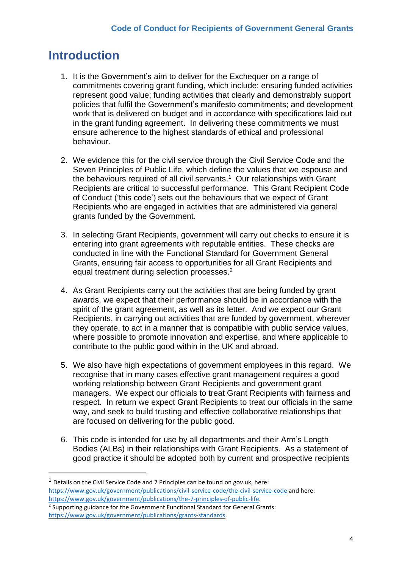# **Introduction**

**.** 

- 1. It is the Government's aim to deliver for the Exchequer on a range of commitments covering grant funding, which include: ensuring funded activities represent good value; funding activities that clearly and demonstrably support policies that fulfil the Government's manifesto commitments; and development work that is delivered on budget and in accordance with specifications laid out in the grant funding agreement. In delivering these commitments we must ensure adherence to the highest standards of ethical and professional behaviour.
- 2. We evidence this for the civil service through the Civil Service Code and the Seven Principles of Public Life, which define the values that we espouse and the behaviours required of all civil servants. <sup>1</sup> Our relationships with Grant Recipients are critical to successful performance. This Grant Recipient Code of Conduct ('this code') sets out the behaviours that we expect of Grant Recipients who are engaged in activities that are administered via general grants funded by the Government.
- 3. In selecting Grant Recipients, government will carry out checks to ensure it is entering into grant agreements with reputable entities. These checks are conducted in line with the Functional Standard for Government General Grants, ensuring fair access to opportunities for all Grant Recipients and equal treatment during selection processes.<sup>2</sup>
- 4. As Grant Recipients carry out the activities that are being funded by grant awards, we expect that their performance should be in accordance with the spirit of the grant agreement, as well as its letter. And we expect our Grant Recipients, in carrying out activities that are funded by government, wherever they operate, to act in a manner that is compatible with public service values, where possible to promote innovation and expertise, and where applicable to contribute to the public good within in the UK and abroad.
- 5. We also have high expectations of government employees in this regard. We recognise that in many cases effective grant management requires a good working relationship between Grant Recipients and government grant managers. We expect our officials to treat Grant Recipients with fairness and respect. In return we expect Grant Recipients to treat our officials in the same way, and seek to build trusting and effective collaborative relationships that are focused on delivering for the public good.
- 6. This code is intended for use by all departments and their Arm's Length Bodies (ALBs) in their relationships with Grant Recipients. As a statement of good practice it should be adopted both by current and prospective recipients

 $1$  Details on the Civil Service Code and 7 Principles can be found on gov.uk, here: <https://www.gov.uk/government/publications/civil-service-code/the-civil-service-code> and here: [https://www.gov.uk/government/publications/the-7-principles-of-public-life.](https://www.gov.uk/government/publications/the-7-principles-of-public-life)

<sup>&</sup>lt;sup>2</sup> Supporting guidance for the Government Functional Standard for General Grants: [https://www.gov.uk/government/publications/grants-standards.](https://www.gov.uk/government/publications/grants-standards)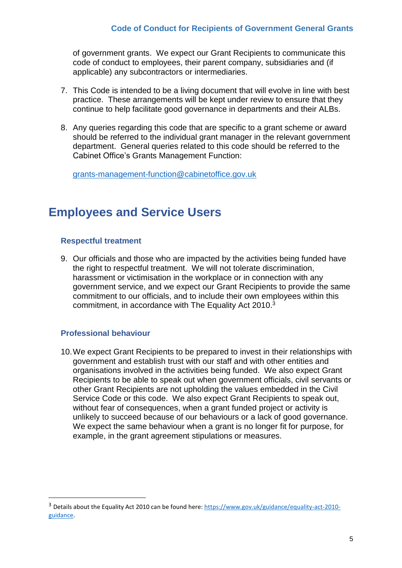of government grants. We expect our Grant Recipients to communicate this code of conduct to employees, their parent company, subsidiaries and (if applicable) any subcontractors or intermediaries.

- 7. This Code is intended to be a living document that will evolve in line with best practice. These arrangements will be kept under review to ensure that they continue to help facilitate good governance in departments and their ALBs.
- 8. Any queries regarding this code that are specific to a grant scheme or award should be referred to the individual grant manager in the relevant government department. General queries related to this code should be referred to the Cabinet Office's Grants Management Function:

[grants-management-function@cabinetoffice.gov.uk](mailto:grants-management-function@cabinetoffice.gov.uk)

# **Employees and Service Users**

#### **Respectful treatment**

9. Our officials and those who are impacted by the activities being funded have the right to respectful treatment. We will not tolerate discrimination, harassment or victimisation in the workplace or in connection with any government service, and we expect our Grant Recipients to provide the same commitment to our officials, and to include their own employees within this commitment, in accordance with The Equality Act 2010.<sup>3</sup>

### **Professional behaviour**

**.** 

10.We expect Grant Recipients to be prepared to invest in their relationships with government and establish trust with our staff and with other entities and organisations involved in the activities being funded. We also expect Grant Recipients to be able to speak out when government officials, civil servants or other Grant Recipients are not upholding the values embedded in the Civil Service Code or this code. We also expect Grant Recipients to speak out, without fear of consequences, when a grant funded project or activity is unlikely to succeed because of our behaviours or a lack of good governance. We expect the same behaviour when a grant is no longer fit for purpose, for example, in the grant agreement stipulations or measures.

<sup>3</sup> Details about the Equality Act 2010 can be found here: [https://www.gov.uk/guidance/equality-act-2010](https://www.gov.uk/guidance/equality-act-2010-guidance) [guidance.](https://www.gov.uk/guidance/equality-act-2010-guidance)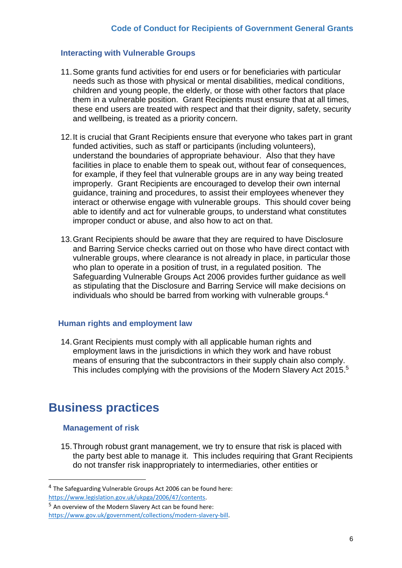### **Interacting with Vulnerable Groups**

- 11.Some grants fund activities for end users or for beneficiaries with particular needs such as those with physical or mental disabilities, medical conditions, children and young people, the elderly, or those with other factors that place them in a vulnerable position. Grant Recipients must ensure that at all times, these end users are treated with respect and that their dignity, safety, security and wellbeing, is treated as a priority concern.
- 12.It is crucial that Grant Recipients ensure that everyone who takes part in grant funded activities, such as staff or participants (including volunteers), understand the boundaries of appropriate behaviour. Also that they have facilities in place to enable them to speak out, without fear of consequences, for example, if they feel that vulnerable groups are in any way being treated improperly. Grant Recipients are encouraged to develop their own internal guidance, training and procedures, to assist their employees whenever they interact or otherwise engage with vulnerable groups. This should cover being able to identify and act for vulnerable groups, to understand what constitutes improper conduct or abuse, and also how to act on that.
- 13.Grant Recipients should be aware that they are required to have Disclosure and Barring Service checks carried out on those who have direct contact with vulnerable groups, where clearance is not already in place, in particular those who plan to operate in a position of trust, in a regulated position. The Safeguarding Vulnerable Groups Act 2006 provides further guidance as well as stipulating that the Disclosure and Barring Service will make decisions on individuals who should be barred from working with vulnerable groups.<sup>4</sup>

#### **Human rights and employment law**

14.Grant Recipients must comply with all applicable human rights and employment laws in the jurisdictions in which they work and have robust means of ensuring that the subcontractors in their supply chain also comply. This includes complying with the provisions of the Modern Slavery Act 2015. 5

# **Business practices**

#### **Management of risk**

**.** 

15.Through robust grant management, we try to ensure that risk is placed with the party best able to manage it. This includes requiring that Grant Recipients do not transfer risk inappropriately to intermediaries, other entities or

<sup>&</sup>lt;sup>4</sup> The Safeguarding Vulnerable Groups Act 2006 can be found here: [https://www.legislation.gov.uk/ukpga/2006/47/contents.](https://www.legislation.gov.uk/ukpga/2006/47/contents) 

 $5$  An overview of the Modern Slavery Act can be found here: [https://www.gov.uk/government/collections/modern-slavery-bill.](https://www.gov.uk/government/collections/modern-slavery-bill)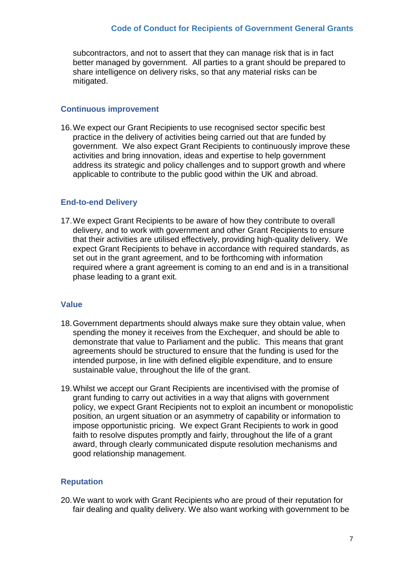subcontractors, and not to assert that they can manage risk that is in fact better managed by government. All parties to a grant should be prepared to share intelligence on delivery risks, so that any material risks can be mitigated.

### **Continuous improvement**

16.We expect our Grant Recipients to use recognised sector specific best practice in the delivery of activities being carried out that are funded by government. We also expect Grant Recipients to continuously improve these activities and bring innovation, ideas and expertise to help government address its strategic and policy challenges and to support growth and where applicable to contribute to the public good within the UK and abroad.

#### **End-to-end Delivery**

17.We expect Grant Recipients to be aware of how they contribute to overall delivery, and to work with government and other Grant Recipients to ensure that their activities are utilised effectively, providing high-quality delivery. We expect Grant Recipients to behave in accordance with required standards, as set out in the grant agreement, and to be forthcoming with information required where a grant agreement is coming to an end and is in a transitional phase leading to a grant exit.

### **Value**

- 18.Government departments should always make sure they obtain value, when spending the money it receives from the Exchequer, and should be able to demonstrate that value to Parliament and the public. This means that grant agreements should be structured to ensure that the funding is used for the intended purpose, in line with defined eligible expenditure, and to ensure sustainable value, throughout the life of the grant.
- 19.Whilst we accept our Grant Recipients are incentivised with the promise of grant funding to carry out activities in a way that aligns with government policy, we expect Grant Recipients not to exploit an incumbent or monopolistic position, an urgent situation or an asymmetry of capability or information to impose opportunistic pricing. We expect Grant Recipients to work in good faith to resolve disputes promptly and fairly, throughout the life of a grant award, through clearly communicated dispute resolution mechanisms and good relationship management.

### **Reputation**

20.We want to work with Grant Recipients who are proud of their reputation for fair dealing and quality delivery. We also want working with government to be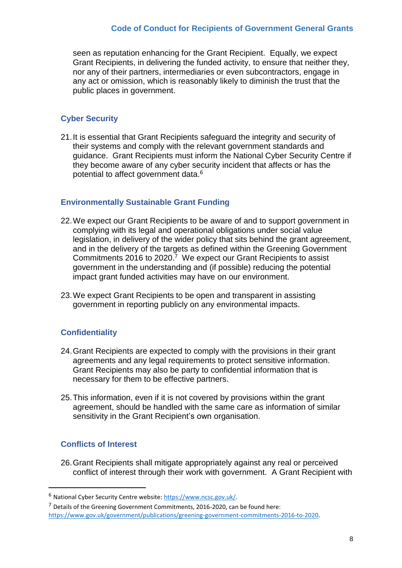seen as reputation enhancing for the Grant Recipient. Equally, we expect Grant Recipients, in delivering the funded activity, to ensure that neither they, nor any of their partners, intermediaries or even subcontractors, engage in any act or omission, which is reasonably likely to diminish the trust that the public places in government.

# **Cyber Security**

21.It is essential that Grant Recipients safeguard the integrity and security of their systems and comply with the relevant government standards and guidance. Grant Recipients must inform the National Cyber Security Centre if they become aware of any cyber security incident that affects or has the potential to affect government data.<sup>6</sup>

### **Environmentally Sustainable Grant Funding**

- 22.We expect our Grant Recipients to be aware of and to support government in complying with its legal and operational obligations under social value legislation, in delivery of the wider policy that sits behind the grant agreement, and in the delivery of the targets as defined within the Greening Government Commitments 2016 to 2020. <sup>7</sup> We expect our Grant Recipients to assist government in the understanding and (if possible) reducing the potential impact grant funded activities may have on our environment.
- 23.We expect Grant Recipients to be open and transparent in assisting government in reporting publicly on any environmental impacts.

### **Confidentiality**

- 24.Grant Recipients are expected to comply with the provisions in their grant agreements and any legal requirements to protect sensitive information. Grant Recipients may also be party to confidential information that is necessary for them to be effective partners.
- 25.This information, even if it is not covered by provisions within the grant agreement, should be handled with the same care as information of similar sensitivity in the Grant Recipient's own organisation.

## **Conflicts of Interest**

**.** 

26.Grant Recipients shall mitigate appropriately against any real or perceived conflict of interest through their work with government. A Grant Recipient with

<sup>6</sup> National Cyber Security Centre website: [https://www.ncsc.gov.uk/.](https://www.ncsc.gov.uk/)

<sup>7</sup> Details of the Greening Government Commitments, 2016-2020, can be found here: [https://www.gov.uk/government/publications/greening-government-commitments-2016-to-2020.](https://www.gov.uk/government/publications/greening-government-commitments-2016-to-2020)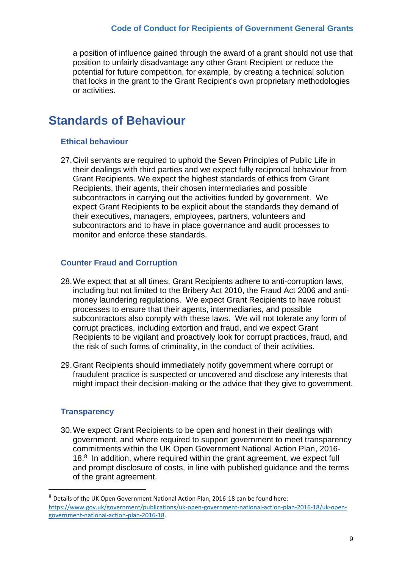a position of influence gained through the award of a grant should not use that position to unfairly disadvantage any other Grant Recipient or reduce the potential for future competition, for example, by creating a technical solution that locks in the grant to the Grant Recipient's own proprietary methodologies or activities.

# **Standards of Behaviour**

### **Ethical behaviour**

27.Civil servants are required to uphold the Seven Principles of Public Life in their dealings with third parties and we expect fully reciprocal behaviour from Grant Recipients. We expect the highest standards of ethics from Grant Recipients, their agents, their chosen intermediaries and possible subcontractors in carrying out the activities funded by government. We expect Grant Recipients to be explicit about the standards they demand of their executives, managers, employees, partners, volunteers and subcontractors and to have in place governance and audit processes to monitor and enforce these standards.

## **Counter Fraud and Corruption**

- 28.We expect that at all times, Grant Recipients adhere to anti-corruption laws, including but not limited to the Bribery Act 2010, the Fraud Act 2006 and antimoney laundering regulations. We expect Grant Recipients to have robust processes to ensure that their agents, intermediaries, and possible subcontractors also comply with these laws. We will not tolerate any form of corrupt practices, including extortion and fraud, and we expect Grant Recipients to be vigilant and proactively look for corrupt practices, fraud, and the risk of such forms of criminality, in the conduct of their activities.
- 29.Grant Recipients should immediately notify government where corrupt or fraudulent practice is suspected or uncovered and disclose any interests that might impact their decision-making or the advice that they give to government.

### **Transparency**

**.** 

30.We expect Grant Recipients to be open and honest in their dealings with government, and where required to support government to meet transparency commitments within the UK Open Government National Action Plan, 2016- 18.<sup>8</sup> In addition, where required within the grant agreement, we expect full and prompt disclosure of costs, in line with published guidance and the terms of the grant agreement.

<sup>8</sup> Details of the UK Open Government National Action Plan, 2016-18 can be found here: [https://www.gov.uk/government/publications/uk-open-government-national-action-plan-2016-18/uk-open](https://www.gov.uk/government/publications/uk-open-government-national-action-plan-2016-18/uk-open-government-national-action-plan-2016-18)[government-national-action-plan-2016-18.](https://www.gov.uk/government/publications/uk-open-government-national-action-plan-2016-18/uk-open-government-national-action-plan-2016-18)